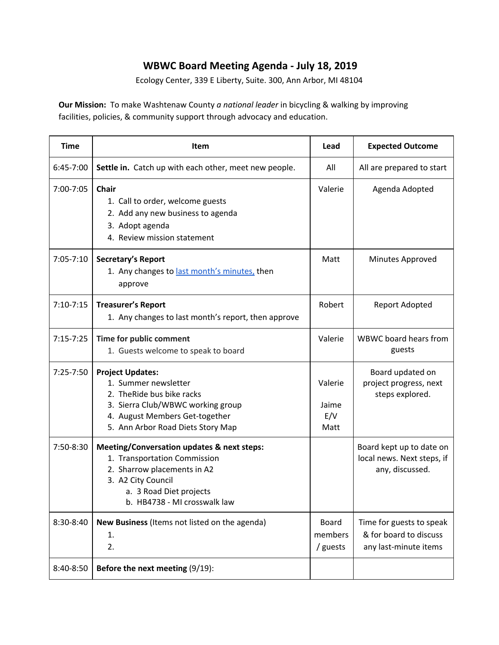## **WBWC Board Meeting Agenda - July 18, 2019**

Ecology Center, 339 E Liberty, Suite. 300, Ann Arbor, MI 48104

**Our Mission:** To make Washtenaw County *a national leader* in bicycling & walking by improving facilities, policies, & community support through advocacy and education.

| <b>Time</b>   | Item                                                                                                                                                                                       | Lead                                | <b>Expected Outcome</b>                                                     |
|---------------|--------------------------------------------------------------------------------------------------------------------------------------------------------------------------------------------|-------------------------------------|-----------------------------------------------------------------------------|
| 6:45-7:00     | Settle in. Catch up with each other, meet new people.                                                                                                                                      | All                                 | All are prepared to start                                                   |
| 7:00-7:05     | Chair<br>1. Call to order, welcome guests<br>2. Add any new business to agenda<br>3. Adopt agenda<br>4. Review mission statement                                                           | Valerie                             | Agenda Adopted                                                              |
| $7:05 - 7:10$ | Secretary's Report<br>1. Any changes to last month's minutes, then<br>approve                                                                                                              | Matt                                | Minutes Approved                                                            |
| $7:10-7:15$   | <b>Treasurer's Report</b><br>1. Any changes to last month's report, then approve                                                                                                           | Robert                              | <b>Report Adopted</b>                                                       |
| $7:15 - 7:25$ | Time for public comment<br>1. Guests welcome to speak to board                                                                                                                             | Valerie                             | WBWC board hears from<br>guests                                             |
| 7:25-7:50     | <b>Project Updates:</b><br>1. Summer newsletter<br>2. The Ride bus bike racks<br>3. Sierra Club/WBWC working group<br>4. August Members Get-together<br>5. Ann Arbor Road Diets Story Map  | Valerie<br>Jaime<br>E/V<br>Matt     | Board updated on<br>project progress, next<br>steps explored.               |
| 7:50-8:30     | Meeting/Conversation updates & next steps:<br>1. Transportation Commission<br>2. Sharrow placements in A2<br>3. A2 City Council<br>a. 3 Road Diet projects<br>b. HB4738 - MI crosswalk law |                                     | Board kept up to date on<br>local news. Next steps, if<br>any, discussed.   |
| 8:30-8:40     | New Business (Items not listed on the agenda)<br>1.<br>2.                                                                                                                                  | <b>Board</b><br>members<br>/ guests | Time for guests to speak<br>& for board to discuss<br>any last-minute items |
| 8:40-8:50     | Before the next meeting (9/19):                                                                                                                                                            |                                     |                                                                             |